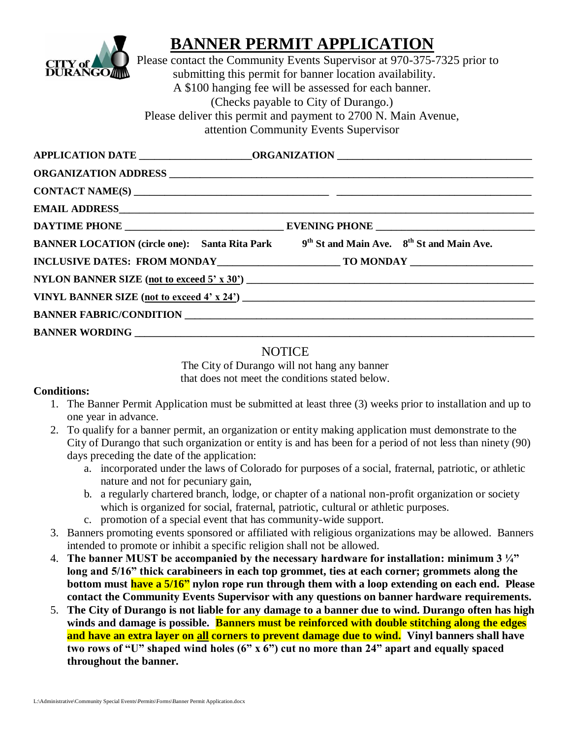

## **BANNER PERMIT APPLICATION**

Please contact the Community Events Supervisor at 970-375-7325 prior to submitting this permit for banner location availability. A \$100 hanging fee will be assessed for each banner. (Checks payable to City of Durango.) Please deliver this permit and payment to 2700 N. Main Avenue, attention Community Events Supervisor

| APPLICATION DATE ________________________ORGANIZATION ___________________________                               |  |
|-----------------------------------------------------------------------------------------------------------------|--|
|                                                                                                                 |  |
|                                                                                                                 |  |
|                                                                                                                 |  |
|                                                                                                                 |  |
| BANNER LOCATION (circle one): Santa Rita Park 9 <sup>th</sup> St and Main Ave. 8 <sup>th</sup> St and Main Ave. |  |
|                                                                                                                 |  |
| NYLON BANNER SIZE (not to exceed $5'$ x $30'$ )                                                                 |  |
| VINYL BANNER SIZE (not to exceed $4' \times 24'$ )                                                              |  |
| BANNER FABRIC/CONDITION <b>AND INTERNATION</b>                                                                  |  |
| <b>BANNER WORDING</b>                                                                                           |  |

## **NOTICE**

The City of Durango will not hang any banner that does not meet the conditions stated below.

## **Conditions:**

- 1. The Banner Permit Application must be submitted at least three (3) weeks prior to installation and up to one year in advance.
- 2. To qualify for a banner permit, an organization or entity making application must demonstrate to the City of Durango that such organization or entity is and has been for a period of not less than ninety (90) days preceding the date of the application:
	- a. incorporated under the laws of Colorado for purposes of a social, fraternal, patriotic, or athletic nature and not for pecuniary gain,
	- b. a regularly chartered branch, lodge, or chapter of a national non-profit organization or society which is organized for social, fraternal, patriotic, cultural or athletic purposes.
	- c. promotion of a special event that has community-wide support.
- 3. Banners promoting events sponsored or affiliated with religious organizations may be allowed. Banners intended to promote or inhibit a specific religion shall not be allowed.
- 4. **The banner MUST be accompanied by the necessary hardware for installation: minimum 3 ¼" long and 5/16" thick carabineers in each top grommet, ties at each corner; grommets along the bottom must have a 5/16" nylon rope run through them with a loop extending on each end. Please contact the Community Events Supervisor with any questions on banner hardware requirements.**
- 5. **The City of Durango is not liable for any damage to a banner due to wind. Durango often has high winds and damage is possible. Banners must be reinforced with double stitching along the edges and have an extra layer on all corners to prevent damage due to wind. Vinyl banners shall have two rows of "U" shaped wind holes (6" x 6") cut no more than 24" apart and equally spaced throughout the banner.**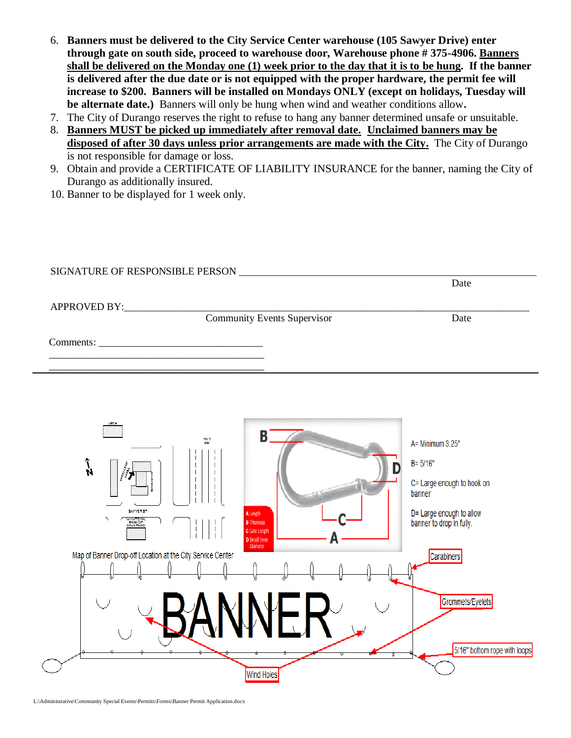- 6. **Banners must be delivered to the City Service Center warehouse (105 Sawyer Drive) enter through gate on south side, proceed to warehouse door, Warehouse phone # 375-4906. Banners shall be delivered on the Monday one (1) week prior to the day that it is to be hung. If the banner is delivered after the due date or is not equipped with the proper hardware, the permit fee will increase to \$200. Banners will be installed on Mondays ONLY (except on holidays, Tuesday will be alternate date.)** Banners will only be hung when wind and weather conditions allow**.**
- 7. The City of Durango reserves the right to refuse to hang any banner determined unsafe or unsuitable.
- 8. **Banners MUST be picked up immediately after removal date. Unclaimed banners may be disposed of after 30 days unless prior arrangements are made with the City.** The City of Durango is not responsible for damage or loss.
- 9. Obtain and provide a CERTIFICATE OF LIABILITY INSURANCE for the banner, naming the City of Durango as additionally insured.
- 10. Banner to be displayed for 1 week only.